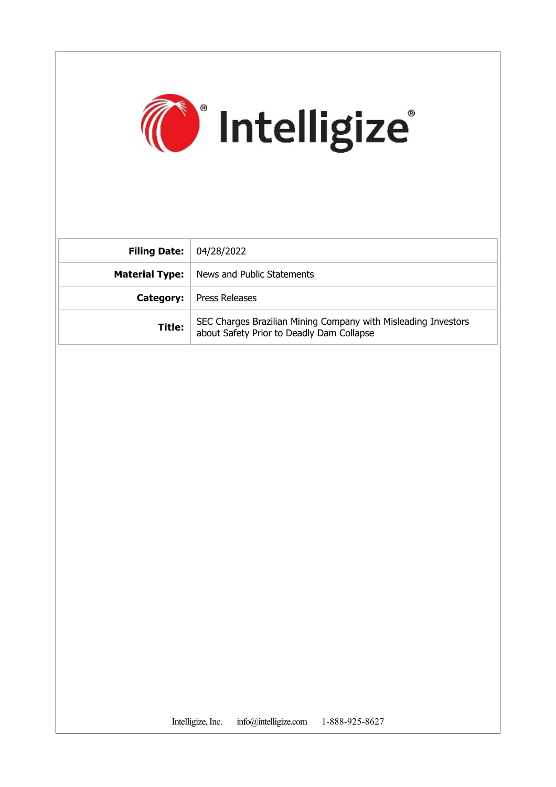

| <b>Filing Date:</b>   | 04/28/2022                                                                                                  |
|-----------------------|-------------------------------------------------------------------------------------------------------------|
| <b>Material Type:</b> | News and Public Statements                                                                                  |
| Category:             | <b>Press Releases</b>                                                                                       |
| Title:                | SEC Charges Brazilian Mining Company with Misleading Investors<br>about Safety Prior to Deadly Dam Collapse |